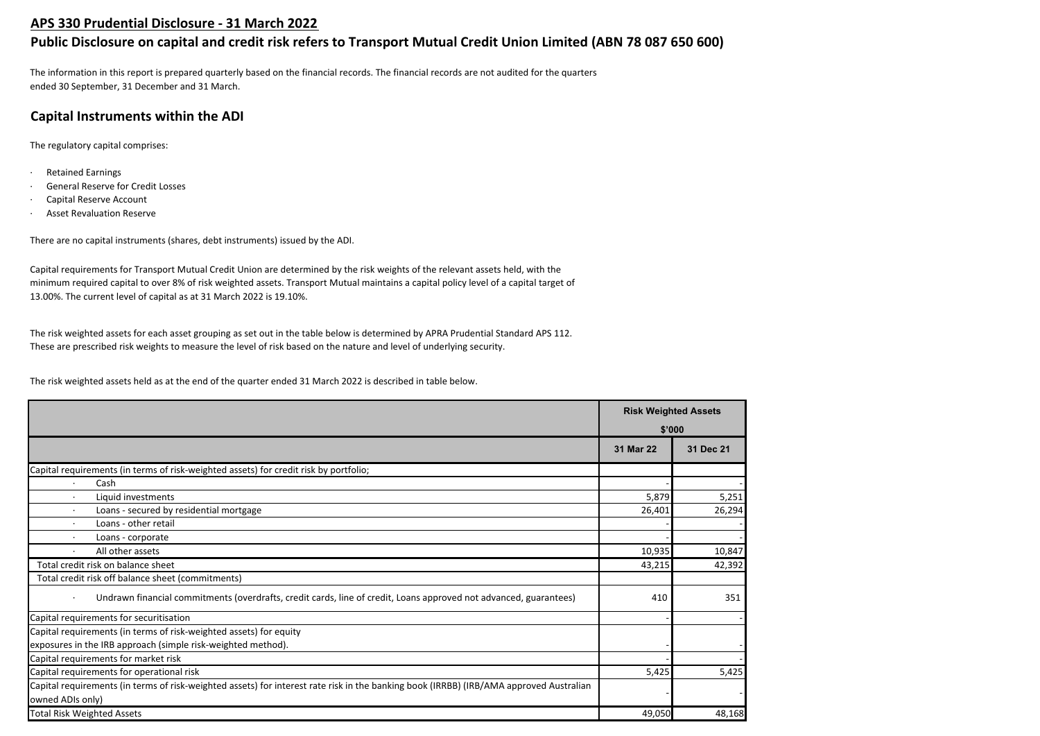## **APS 330 Prudential Disclosure - 31 March 2022**

# **Public Disclosure on capital and credit risk refers to Transport Mutual Credit Union Limited (ABN 78 087 650 600)**

The information in this report is prepared quarterly based on the financial records. The financial records are not audited for the quarters ended 30 September, 31 December and 31 March.

# **Capital Instruments within the ADI**

The regulatory capital comprises:

- · Retained Earnings
- General Reserve for Credit Losses
- Capital Reserve Account
- **Asset Revaluation Reserve**

There are no capital instruments (shares, debt instruments) issued by the ADI.

Capital requirements for Transport Mutual Credit Union are determined by the risk weights of the relevant assets held, with the minimum required capital to over 8% of risk weighted assets. Transport Mutual maintains a capital policy level of a capital target of 13.00%. The current level of capital as at 31 March 2022 is 19.10%.

The risk weighted assets for each asset grouping as set out in the table below is determined by APRA Prudential Standard APS 112. These are prescribed risk weights to measure the level of risk based on the nature and level of underlying security.

The risk weighted assets held as at the end of the quarter ended 31 March 2022 is described in table below.

|                                                                                                                                         | <b>Risk Weighted Assets</b> |           |  |
|-----------------------------------------------------------------------------------------------------------------------------------------|-----------------------------|-----------|--|
|                                                                                                                                         | \$'000                      |           |  |
|                                                                                                                                         | 31 Mar 22                   | 31 Dec 21 |  |
| Capital requirements (in terms of risk-weighted assets) for credit risk by portfolio;                                                   |                             |           |  |
| Cash                                                                                                                                    |                             |           |  |
| Liquid investments<br>$\cdot$                                                                                                           | 5,879                       | 5,251     |  |
| Loans - secured by residential mortgage                                                                                                 | 26,401                      | 26,294    |  |
| Loans - other retail                                                                                                                    |                             |           |  |
| Loans - corporate                                                                                                                       |                             |           |  |
| All other assets                                                                                                                        | 10,935                      | 10,847    |  |
| Total credit risk on balance sheet                                                                                                      | 43,215                      | 42,392    |  |
| Total credit risk off balance sheet (commitments)                                                                                       |                             |           |  |
| Undrawn financial commitments (overdrafts, credit cards, line of credit, Loans approved not advanced, guarantees)                       | 410                         | 351       |  |
| Capital requirements for securitisation                                                                                                 |                             |           |  |
| Capital requirements (in terms of risk-weighted assets) for equity                                                                      |                             |           |  |
| exposures in the IRB approach (simple risk-weighted method).                                                                            |                             |           |  |
| Capital requirements for market risk                                                                                                    |                             |           |  |
| Capital requirements for operational risk                                                                                               | 5,425                       | 5,425     |  |
| Capital requirements (in terms of risk-weighted assets) for interest rate risk in the banking book (IRRBB) (IRB/AMA approved Australian |                             |           |  |
| owned ADIs only)                                                                                                                        |                             |           |  |
| <b>Total Risk Weighted Assets</b>                                                                                                       | 49,050                      | 48,168    |  |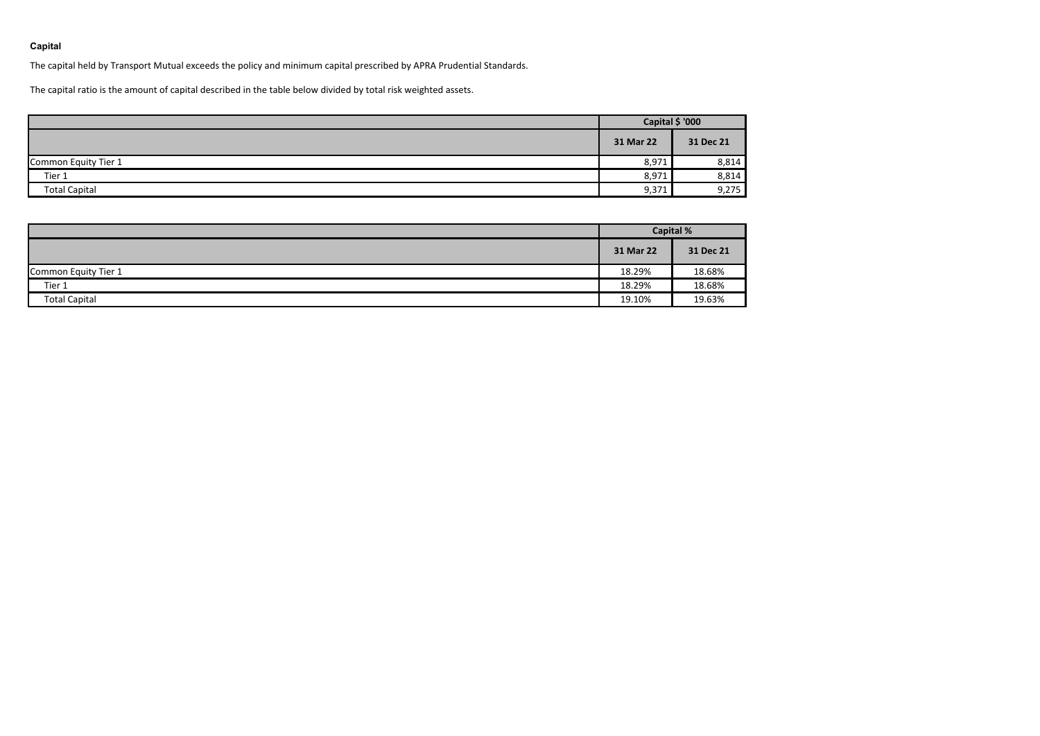## **Capital**

The capital held by Transport Mutual exceeds the policy and minimum capital prescribed by APRA Prudential Standards.

The capital ratio is the amount of capital described in the table below divided by total risk weighted assets.

|                      | Capital \$ '000 |           |  |
|----------------------|-----------------|-----------|--|
|                      | 31 Mar 22       | 31 Dec 21 |  |
| Common Equity Tier 1 | 8,971           | 8,814     |  |
| Tier 1               | 8,971           | 8,814     |  |
| <b>Total Capital</b> | 9,371           | 9,275     |  |

|                      | <b>Capital %</b> |           |  |
|----------------------|------------------|-----------|--|
|                      | 31 Mar 22        | 31 Dec 21 |  |
| Common Equity Tier 1 | 18.29%           | 18.68%    |  |
| Tier 1               | 18.29%           | 18.68%    |  |
| <b>Total Capital</b> | 19.10%           | 19.63%    |  |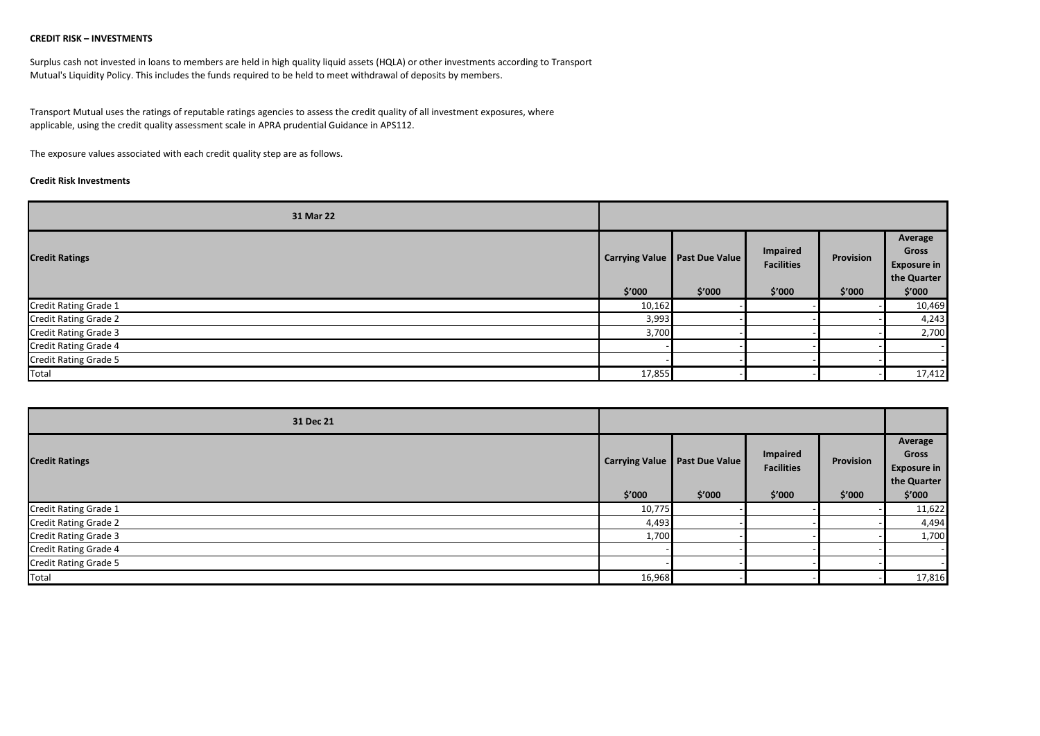## **CREDIT RISK – INVESTMENTS**

Surplus cash not invested in loans to members are held in high quality liquid assets (HQLA) or other investments according to Transport Mutual's Liquidity Policy. This includes the funds required to be held to meet withdrawal of deposits by members.

Transport Mutual uses the ratings of reputable ratings agencies to assess the credit quality of all investment exposures, where applicable, using the credit quality assessment scale in APRA prudential Guidance in APS112.

The exposure values associated with each credit quality step are as follows.

## **Credit Risk Investments**

| 31 Mar 22                    |                       |                       |                                      |           |                                                       |
|------------------------------|-----------------------|-----------------------|--------------------------------------|-----------|-------------------------------------------------------|
| <b>Credit Ratings</b>        | <b>Carrying Value</b> | <b>Past Due Value</b> | <b>Impaired</b><br><b>Facilities</b> | Provision | Average<br>Gross<br><b>Exposure in</b><br>the Quarter |
|                              | \$′000                | \$′000                | \$′000                               | \$′000    | \$′000                                                |
| <b>Credit Rating Grade 1</b> | 10,162                |                       |                                      |           | 10,469                                                |
| <b>Credit Rating Grade 2</b> | 3,993                 |                       |                                      |           | 4,243                                                 |
| <b>Credit Rating Grade 3</b> | 3,700                 |                       |                                      |           | 2,700                                                 |
| <b>Credit Rating Grade 4</b> |                       |                       |                                      |           |                                                       |
| <b>Credit Rating Grade 5</b> |                       |                       |                                      |           |                                                       |
| Total                        | 17,855                |                       |                                      |           | 17,412                                                |

| 31 Dec 21                    |                       |                |                               |           |                                                       |
|------------------------------|-----------------------|----------------|-------------------------------|-----------|-------------------------------------------------------|
| <b>Credit Ratings</b>        | <b>Carrying Value</b> | Past Due Value | Impaired<br><b>Facilities</b> | Provision | Average<br>Gross<br><b>Exposure in</b><br>the Quarter |
|                              | \$′000                | \$'000         | \$′000                        | \$'000    | \$'000                                                |
| Credit Rating Grade 1        | 10,775                |                |                               |           | 11,622                                                |
| <b>Credit Rating Grade 2</b> | 4,493                 |                |                               |           | 4,494                                                 |
| Credit Rating Grade 3        | 1,700                 |                |                               |           | 1,700                                                 |
| <b>Credit Rating Grade 4</b> |                       |                |                               |           |                                                       |
| Credit Rating Grade 5        |                       |                |                               |           |                                                       |
| Total                        | 16,968                |                |                               |           | 17,816                                                |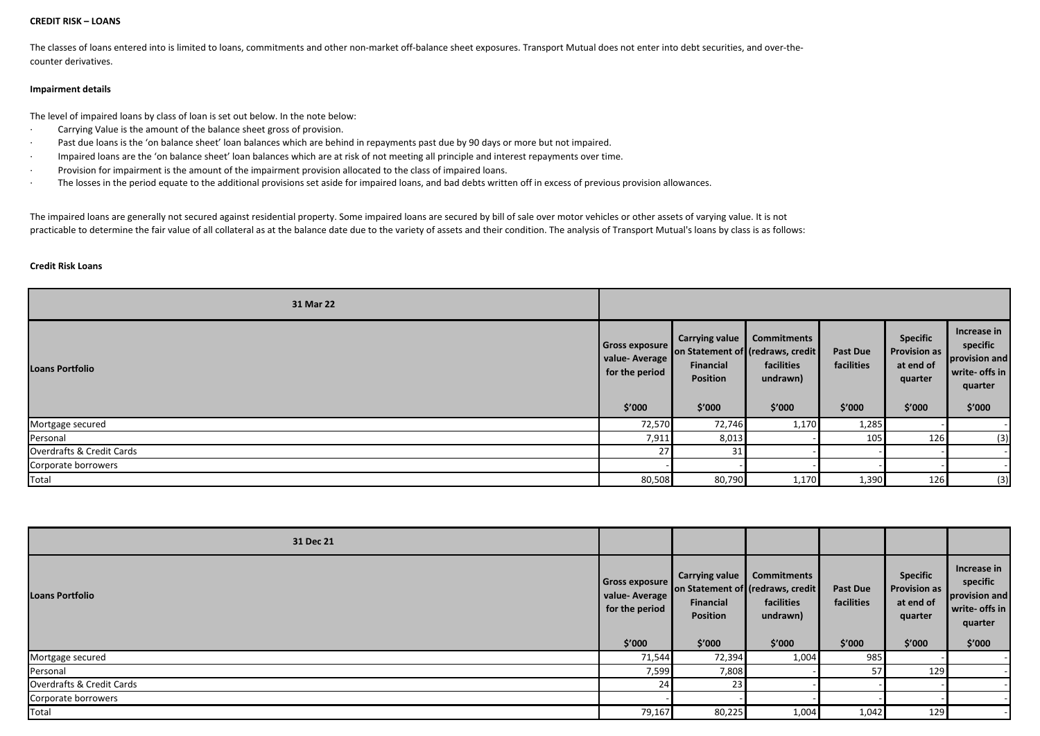#### **CREDIT RISK – LOANS**

The classes of loans entered into is limited to loans, commitments and other non-market off-balance sheet exposures. Transport Mutual does not enter into debt securities, and over-thecounter derivatives.

## **Impairment details**

The level of impaired loans by class of loan is set out below. In the note below:

- · Carrying Value is the amount of the balance sheet gross of provision.
- Past due loans is the 'on balance sheet' loan balances which are behind in repayments past due by 90 days or more but not impaired.
- · Impaired loans are the 'on balance sheet' loan balances which are at risk of not meeting all principle and interest repayments over time.
- · Provision for impairment is the amount of the impairment provision allocated to the class of impaired loans.
- · The losses in the period equate to the additional provisions set aside for impaired loans, and bad debts written off in excess of previous provision allowances.

The impaired loans are generally not secured against residential property. Some impaired loans are secured by bill of sale over motor vehicles or other assets of varying value. It is not practicable to determine the fair value of all collateral as at the balance date due to the variety of assets and their condition. The analysis of Transport Mutual's loans by class is as follows:

#### **Credit Risk Loans**

| 31 Mar 22                 |                                                             |                                                          |                                                                                             |                                         |                                                                          |                                                                                 |
|---------------------------|-------------------------------------------------------------|----------------------------------------------------------|---------------------------------------------------------------------------------------------|-----------------------------------------|--------------------------------------------------------------------------|---------------------------------------------------------------------------------|
| <b>Loans Portfolio</b>    | Gross exposure<br>value-Average<br>for the period<br>\$'000 | Carrying value<br><b>Financial</b><br>Position<br>\$′000 | <b>Commitments</b><br>on Statement of (redraws, credit)<br>facilities<br>undrawn)<br>\$'000 | <b>Past Due</b><br>facilities<br>\$′000 | <b>Specific</b><br><b>Provision as</b><br>at end of<br>quarter<br>\$'000 | Increase in<br>specific<br>provision and<br>write- offs in<br>quarter<br>\$'000 |
| Mortgage secured          | 72,570                                                      | 72,746                                                   | 1,170                                                                                       | 1,285                                   |                                                                          |                                                                                 |
| Personal                  | 7,911                                                       | 8,013                                                    |                                                                                             | 105                                     | 126                                                                      | (3)                                                                             |
| Overdrafts & Credit Cards | 27                                                          | 31                                                       |                                                                                             |                                         |                                                                          |                                                                                 |
| Corporate borrowers       |                                                             |                                                          |                                                                                             |                                         |                                                                          |                                                                                 |
| Total                     | 80,508                                                      | 80,790                                                   | 1,170                                                                                       | 1,390                                   | 126                                                                      | (3)                                                                             |

| 31 Dec 21                 |                                                                    |                                                                                                      |                                                        |                                         |                                                                   |                                                                                 |
|---------------------------|--------------------------------------------------------------------|------------------------------------------------------------------------------------------------------|--------------------------------------------------------|-----------------------------------------|-------------------------------------------------------------------|---------------------------------------------------------------------------------|
| <b>Loans Portfolio</b>    | <b>Gross exposure</b><br>value-Average<br>for the period<br>\$'000 | <b>Carrying value</b><br>on Statement of (redraws, credit)<br>Financial<br><b>Position</b><br>\$′000 | <b>Commitments</b><br>facilities<br>undrawn)<br>\$'000 | <b>Past Due</b><br>facilities<br>\$'000 | <b>Specific</b><br>Provision as<br>at end of<br>quarter<br>\$'000 | Increase in<br>specific<br>provision and<br>write- offs in<br>quarter<br>\$′000 |
| Mortgage secured          | 71,544                                                             | 72,394                                                                                               | 1,004                                                  | 985                                     |                                                                   |                                                                                 |
| Personal                  | 7,599                                                              | 7,808                                                                                                |                                                        | 57                                      | 129                                                               |                                                                                 |
| Overdrafts & Credit Cards | 24                                                                 | 23                                                                                                   |                                                        |                                         |                                                                   |                                                                                 |
| Corporate borrowers       |                                                                    |                                                                                                      |                                                        |                                         |                                                                   |                                                                                 |
| Total                     | 79,167                                                             | 80,225                                                                                               | 1,004                                                  | 1,042                                   | 129                                                               |                                                                                 |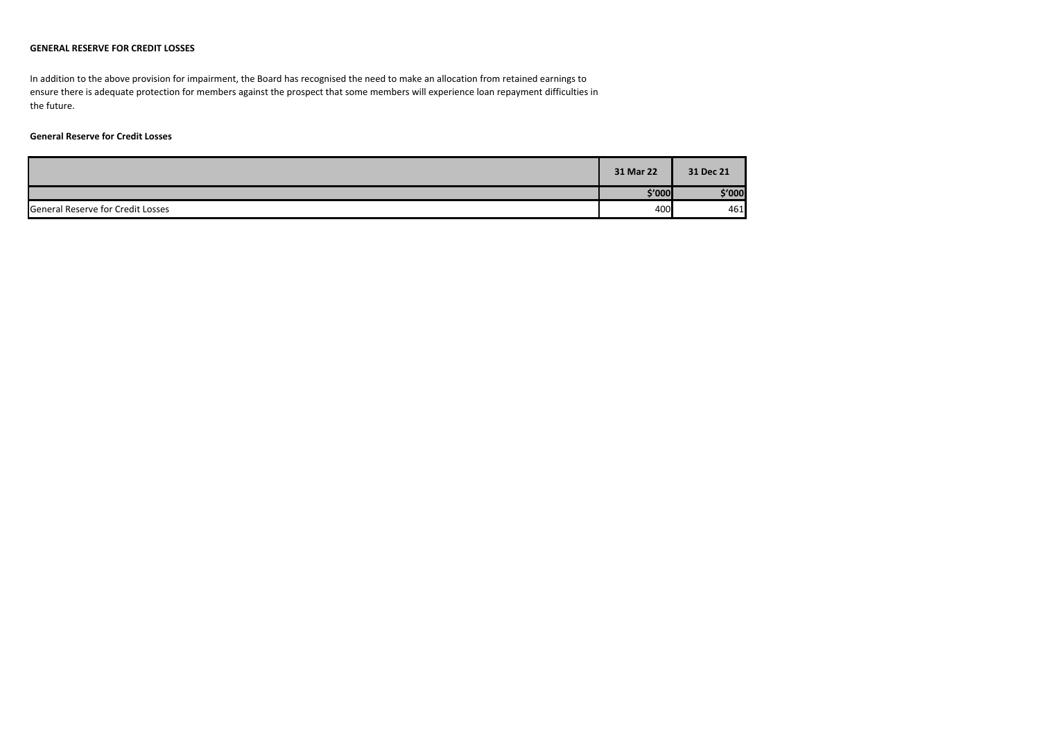## **GENERAL RESERVE FOR CREDIT LOSSES**

In addition to the above provision for impairment, the Board has recognised the need to make an allocation from retained earnings to ensure there is adequate protection for members against the prospect that some members will experience loan repayment difficulties in the future.

## **General Reserve for Credit Losses**

|                                          | 31 Mar 22 | 31 Dec 21 |
|------------------------------------------|-----------|-----------|
|                                          | \$′000]   | \$'000    |
| <b>General Reserve for Credit Losses</b> | 400       | 461       |